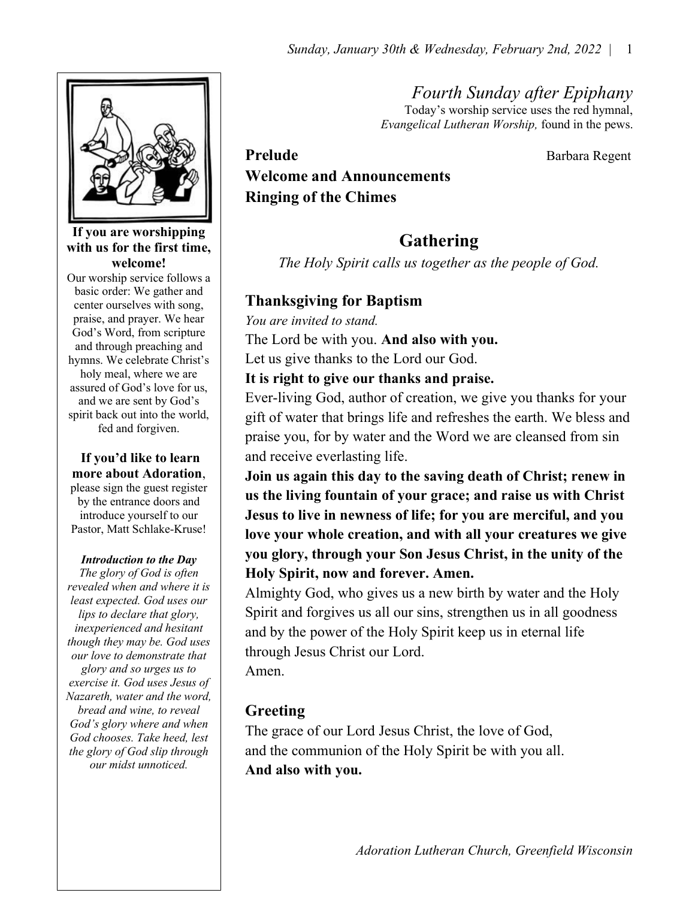Fourth Sunday after Epiphany Today's worship service uses the red hymnal, Evangelical Lutheran Worship, found in the pews.



If you are worshipping with us for the first time, welcome!

Our worship service follows a basic order: We gather and center ourselves with song, praise, and prayer. We hear God's Word, from scripture and through preaching and hymns. We celebrate Christ's holy meal, where we are assured of God's love for us, and we are sent by God's spirit back out into the world, fed and forgiven.

#### If you'd like to learn more about Adoration,

please sign the guest register by the entrance doors and introduce yourself to our Pastor, Matt Schlake-Kruse!

#### Introduction to the Day

The glory of God is often revealed when and where it is least expected. God uses our lips to declare that glory, inexperienced and hesitant though they may be. God uses our love to demonstrate that glory and so urges us to exercise it. God uses Jesus of Nazareth, water and the word, bread and wine, to reveal God's glory where and when God chooses. Take heed, lest the glory of God slip through our midst unnoticed.

# Prelude Barbara Regent Welcome and Announcements Ringing of the Chimes

# Gathering

The Holy Spirit calls us together as the people of God.

## Thanksgiving for Baptism

You are invited to stand. The Lord be with you. And also with you. Let us give thanks to the Lord our God.

It is right to give our thanks and praise.

Ever-living God, author of creation, we give you thanks for your gift of water that brings life and refreshes the earth. We bless and praise you, for by water and the Word we are cleansed from sin and receive everlasting life.

Join us again this day to the saving death of Christ; renew in us the living fountain of your grace; and raise us with Christ Jesus to live in newness of life; for you are merciful, and you love your whole creation, and with all your creatures we give you glory, through your Son Jesus Christ, in the unity of the Holy Spirit, now and forever. Amen.

Almighty God, who gives us a new birth by water and the Holy Spirit and forgives us all our sins, strengthen us in all goodness and by the power of the Holy Spirit keep us in eternal life through Jesus Christ our Lord.

Amen.

# Greeting

The grace of our Lord Jesus Christ, the love of God, and the communion of the Holy Spirit be with you all. And also with you.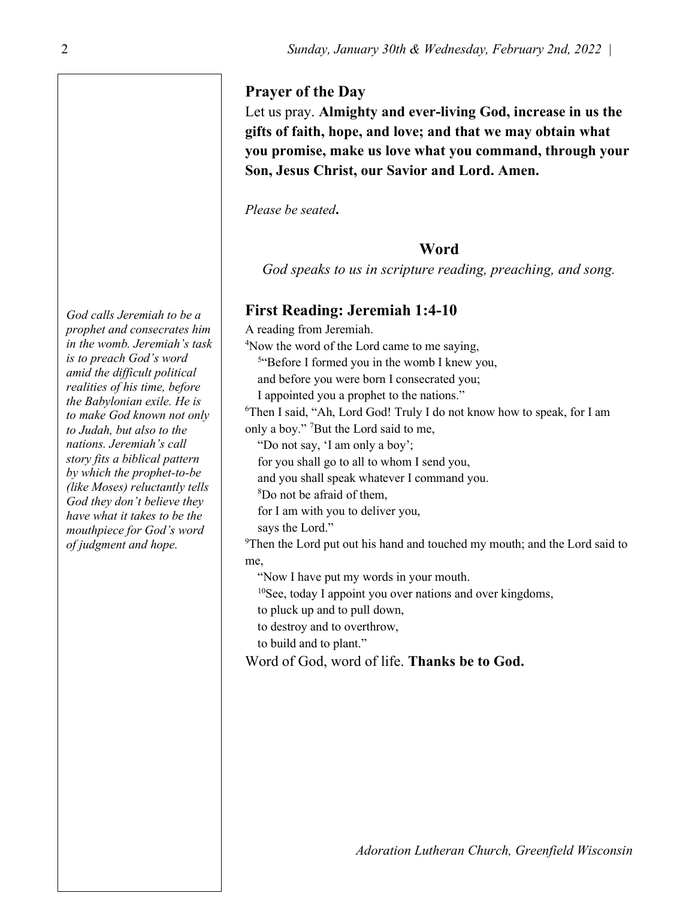#### Prayer of the Day

Let us pray. Almighty and ever-living God, increase in us the gifts of faith, hope, and love; and that we may obtain what you promise, make us love what you command, through your Son, Jesus Christ, our Savior and Lord. Amen.

Please be seated.

#### Word

God speaks to us in scripture reading, preaching, and song.

## First Reading: Jeremiah 1:4-10

A reading from Jeremiah. <sup>4</sup>Now the word of the Lord came to me saying, <sup>5"</sup>Before I formed you in the womb I knew you, and before you were born I consecrated you; I appointed you a prophet to the nations." <sup>6</sup>Then I said, "Ah, Lord God! Truly I do not know how to speak, for I am only a boy." <sup>7</sup>But the Lord said to me,

"Do not say, 'I am only a boy';

for you shall go to all to whom I send you,

and you shall speak whatever I command you.

<sup>8</sup>Do not be afraid of them,

for I am with you to deliver you,

says the Lord."

 $9$ Then the Lord put out his hand and touched my mouth; and the Lord said to me,

"Now I have put my words in your mouth.

<sup>10</sup>See, today I appoint you over nations and over kingdoms,

to pluck up and to pull down,

to destroy and to overthrow,

to build and to plant."

Word of God, word of life. Thanks be to God.

God calls Jeremiah to be a prophet and consecrates him in the womb. Jeremiah's task is to preach God's word amid the difficult political realities of his time, before the Babylonian exile. He is to make God known not only to Judah, but also to the nations. Jeremiah's call story fits a biblical pattern by which the prophet-to-be (like Moses) reluctantly tells God they don't believe they have what it takes to be the mouthpiece for God's word of judgment and hope.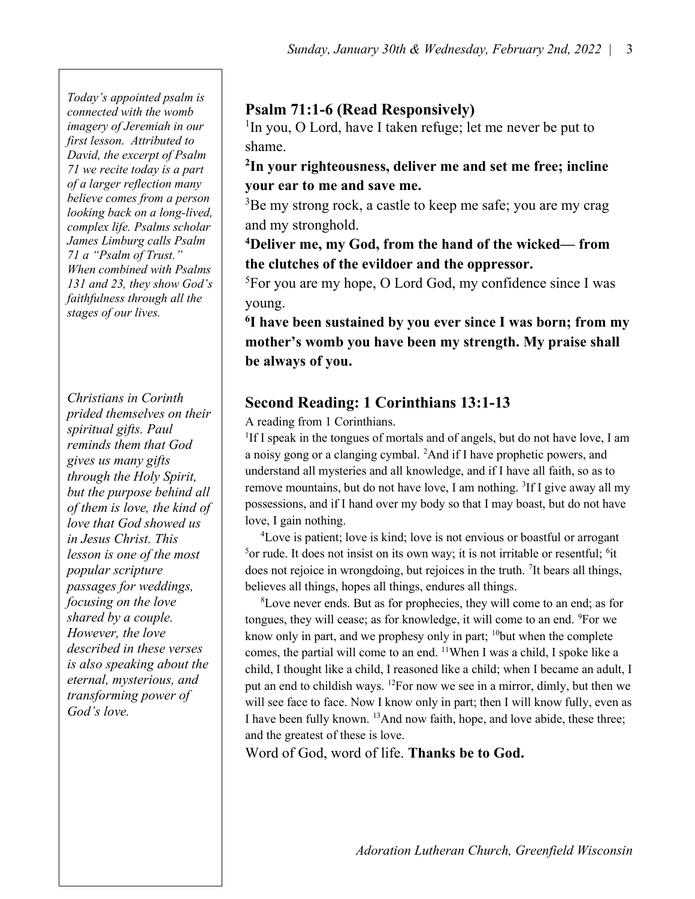Today's appointed psalm is connected with the womb imagery of Jeremiah in our first lesson. Attributed to David, the excerpt of Psalm 71 we recite today is a part of a larger reflection many believe comes from a person looking back on a long-lived, complex life. Psalms scholar James Limburg calls Psalm 71 a "Psalm of Trust." When combined with Psalms 131 and 23, they show God's faithfulness through all the stages of our lives.

Christians in Corinth prided themselves on their spiritual gifts. Paul reminds them that God gives us many gifts through the Holy Spirit, but the purpose behind all of them is love, the kind of love that God showed us in Jesus Christ. This lesson is one of the most popular scripture passages for weddings, focusing on the love shared by a couple. However, the love described in these verses is also speaking about the eternal, mysterious, and transforming power of God's love.

# Psalm 71:1-6 (Read Responsively)

<sup>1</sup>In you, O Lord, have I taken refuge; let me never be put to shame.

## <sup>2</sup>In your righteousness, deliver me and set me free; incline your ear to me and save me.

<sup>3</sup>Be my strong rock, a castle to keep me safe; you are my crag and my stronghold.

#### <sup>4</sup>Deliver me, my God, from the hand of the wicked— from the clutches of the evildoer and the oppressor.

<sup>5</sup>For you are my hope, O Lord God, my confidence since I was young.

<sup>6</sup>I have been sustained by you ever since I was born; from my mother's womb you have been my strength. My praise shall be always of you.

# Second Reading: 1 Corinthians 13:1-13

A reading from 1 Corinthians.

<sup>1</sup>If I speak in the tongues of mortals and of angels, but do not have love, I am a noisy gong or a clanging cymbal. <sup>2</sup>And if I have prophetic powers, and understand all mysteries and all knowledge, and if I have all faith, so as to remove mountains, but do not have love, I am nothing. <sup>3</sup>If I give away all my possessions, and if I hand over my body so that I may boast, but do not have love, I gain nothing.

<sup>4</sup>Love is patient; love is kind; love is not envious or boastful or arrogant <sup>5</sup>or rude. It does not insist on its own way; it is not irritable or resentful; <sup>6</sup>it does not rejoice in wrongdoing, but rejoices in the truth. <sup>7</sup> It bears all things, believes all things, hopes all things, endures all things.

<sup>8</sup>Love never ends. But as for prophecies, they will come to an end; as for tongues, they will cease; as for knowledge, it will come to an end. <sup>9</sup>For we know only in part, and we prophesy only in part; <sup>10</sup>but when the complete comes, the partial will come to an end. <sup>11</sup>When I was a child, I spoke like a child, I thought like a child, I reasoned like a child; when I became an adult, I put an end to childish ways. <sup>12</sup>For now we see in a mirror, dimly, but then we will see face to face. Now I know only in part; then I will know fully, even as I have been fully known. <sup>13</sup>And now faith, hope, and love abide, these three; and the greatest of these is love.

Word of God, word of life. Thanks be to God.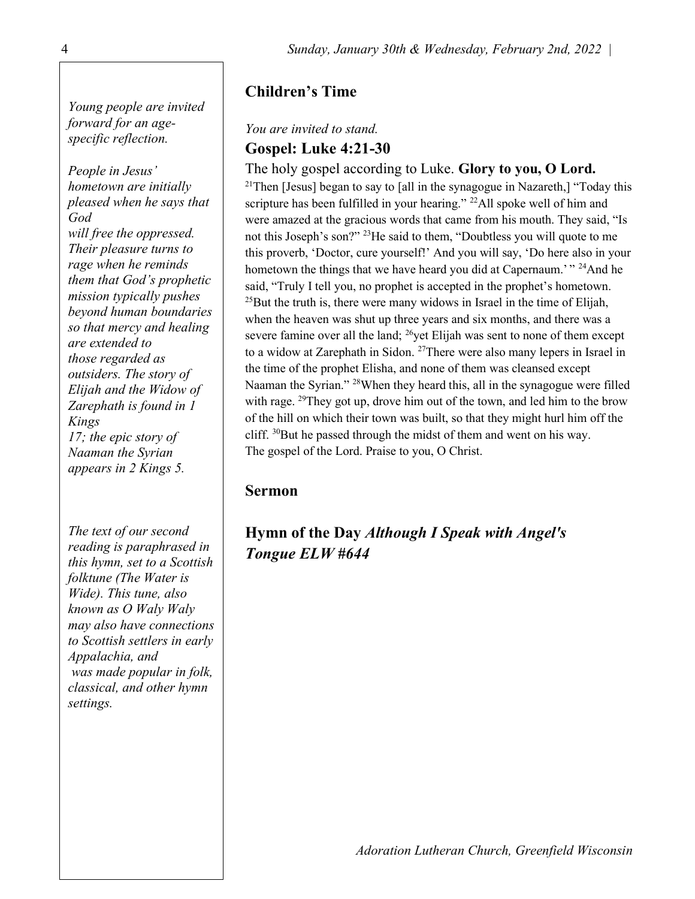Young people are invited forward for an agespecific reflection.

People in Jesus' hometown are initially pleased when he says that God will free the oppressed. Their pleasure turns to rage when he reminds them that God's prophetic mission typically pushes beyond human boundaries so that mercy and healing are extended to those regarded as outsiders. The story of Elijah and the Widow of Zarephath is found in 1 Kings 17; the epic story of Naaman the Syrian appears in 2 Kings 5.

The text of our second reading is paraphrased in this hymn, set to a Scottish folktune (The Water is Wide). This tune, also known as O Waly Waly may also have connections to Scottish settlers in early Appalachia, and was made popular in folk, classical, and other hymn settings.

## Children's Time

#### You are invited to stand. Gospel: Luke 4:21-30

The holy gospel according to Luke. Glory to you, O Lord. <sup>21</sup>Then [Jesus] began to say to [all in the synagogue in Nazareth,] "Today this scripture has been fulfilled in your hearing."  $^{22}$ All spoke well of him and were amazed at the gracious words that came from his mouth. They said, "Is not this Joseph's son?" <sup>23</sup>He said to them, "Doubtless you will quote to me this proverb, 'Doctor, cure yourself!' And you will say, 'Do here also in your hometown the things that we have heard you did at Capernaum.<sup>"</sup> <sup>24</sup>And he said, "Truly I tell you, no prophet is accepted in the prophet's hometown.  $^{25}$ But the truth is, there were many widows in Israel in the time of Elijah, when the heaven was shut up three years and six months, and there was a severe famine over all the land;  $^{26}$ yet Elijah was sent to none of them except to a widow at Zarephath in Sidon. <sup>27</sup>There were also many lepers in Israel in the time of the prophet Elisha, and none of them was cleansed except Naaman the Syrian." <sup>28</sup>When they heard this, all in the synagogue were filled with rage. <sup>29</sup>They got up, drove him out of the town, and led him to the brow of the hill on which their town was built, so that they might hurl him off the cliff.  $30$ But he passed through the midst of them and went on his way. The gospel of the Lord. Praise to you, O Christ.

#### Sermon

# Hymn of the Day Although I Speak with Angel's Tongue ELW #644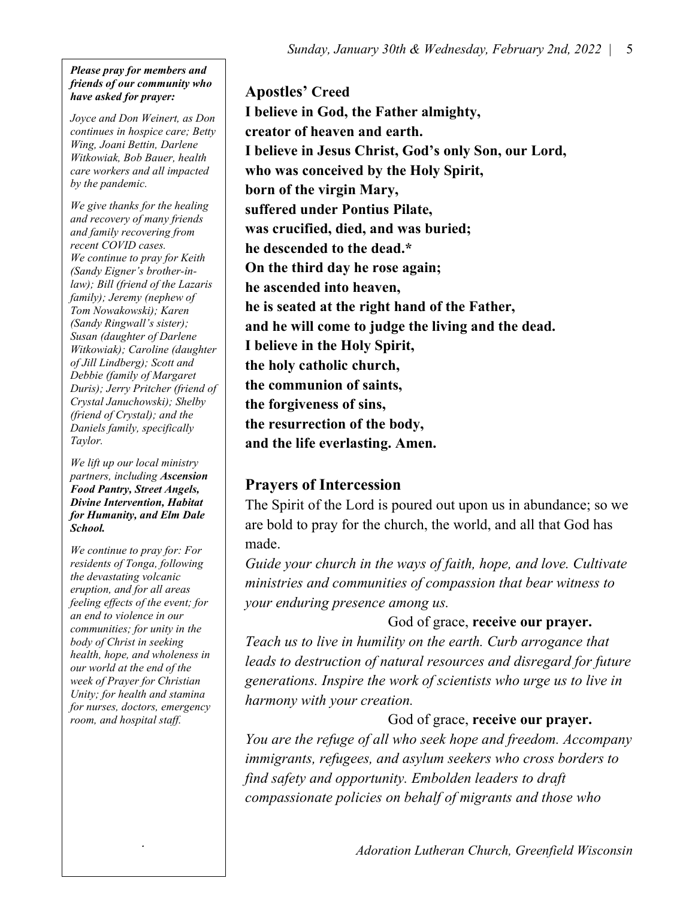#### Please pray for members and friends of our community who have asked for prayer:

Joyce and Don Weinert, as Don continues in hospice care; Betty Wing, Joani Bettin, Darlene Witkowiak, Bob Bauer, health care workers and all impacted by the pandemic.

We give thanks for the healing and recovery of many friends and family recovering from recent COVID cases. We continue to pray for Keith (Sandy Eigner's brother-inlaw); Bill (friend of the Lazaris family); Jeremy (nephew of Tom Nowakowski); Karen (Sandy Ringwall's sister); Susan (daughter of Darlene Witkowiak); Caroline (daughter of Jill Lindberg); Scott and Debbie (family of Margaret Duris); Jerry Pritcher (friend of Crystal Januchowski); Shelby (friend of Crystal); and the Daniels family, specifically Taylor.

We lift up our local ministry partners, including Ascension Food Pantry, Street Angels, Divine Intervention, Habitat for Humanity, and Elm Dale School.

We continue to pray for: For residents of Tonga, following the devastating volcanic eruption, and for all areas feeling effects of the event; for an end to violence in our communities; for unity in the body of Christ in seeking health, hope, and wholeness in our world at the end of the week of Prayer for Christian Unity; for health and stamina for nurses, doctors, emergency room, and hospital staff.

.

Apostles' Creed I believe in God, the Father almighty, creator of heaven and earth. I believe in Jesus Christ, God's only Son, our Lord, who was conceived by the Holy Spirit, born of the virgin Mary, suffered under Pontius Pilate, was crucified, died, and was buried; he descended to the dead.\* On the third day he rose again; he ascended into heaven, he is seated at the right hand of the Father, and he will come to judge the living and the dead. I believe in the Holy Spirit, the holy catholic church, the communion of saints, the forgiveness of sins, the resurrection of the body, and the life everlasting. Amen.

# Prayers of Intercession

The Spirit of the Lord is poured out upon us in abundance; so we are bold to pray for the church, the world, and all that God has made.

Guide your church in the ways of faith, hope, and love. Cultivate ministries and communities of compassion that bear witness to your enduring presence among us.

## God of grace, receive our prayer.

Teach us to live in humility on the earth. Curb arrogance that leads to destruction of natural resources and disregard for future generations. Inspire the work of scientists who urge us to live in harmony with your creation.

## God of grace, receive our prayer.

You are the refuge of all who seek hope and freedom. Accompany immigrants, refugees, and asylum seekers who cross borders to find safety and opportunity. Embolden leaders to draft compassionate policies on behalf of migrants and those who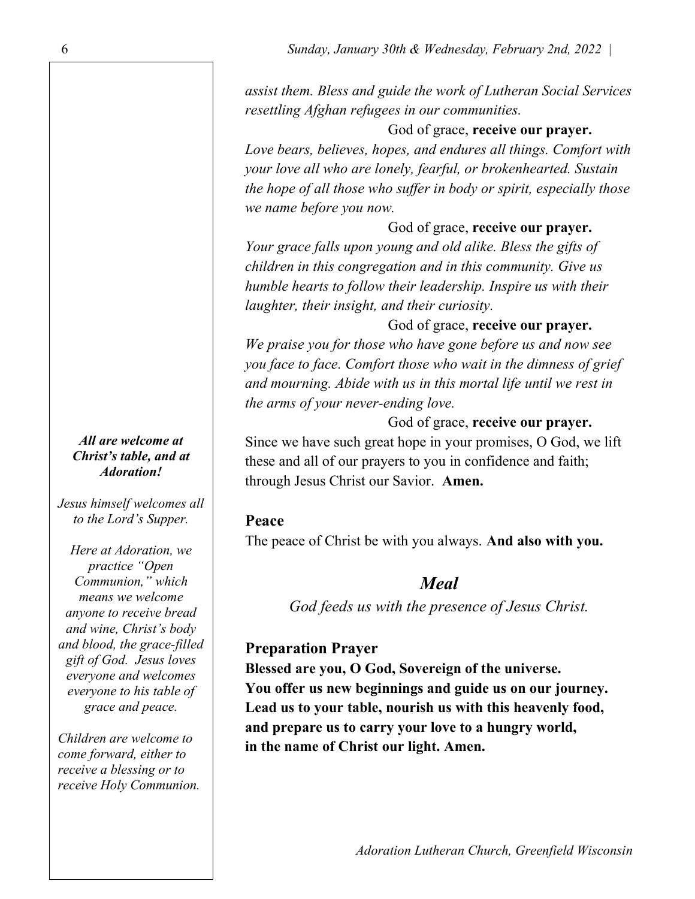assist them. Bless and guide the work of Lutheran Social Services resettling Afghan refugees in our communities.

#### God of grace, receive our prayer.

Love bears, believes, hopes, and endures all things. Comfort with your love all who are lonely, fearful, or brokenhearted. Sustain the hope of all those who suffer in body or spirit, especially those we name before you now.

God of grace, receive our prayer.

Your grace falls upon young and old alike. Bless the gifts of children in this congregation and in this community. Give us humble hearts to follow their leadership. Inspire us with their laughter, their insight, and their curiosity.

God of grace, receive our prayer.

We praise you for those who have gone before us and now see you face to face. Comfort those who wait in the dimness of grief and mourning. Abide with us in this mortal life until we rest in the arms of your never-ending love.

God of grace, receive our prayer.

Since we have such great hope in your promises, O God, we lift these and all of our prayers to you in confidence and faith; through Jesus Christ our Savior. Amen.

#### Peace

The peace of Christ be with you always. And also with you.

## Meal

God feeds us with the presence of Jesus Christ.

## Preparation Prayer

Blessed are you, O God, Sovereign of the universe. You offer us new beginnings and guide us on our journey. Lead us to your table, nourish us with this heavenly food, and prepare us to carry your love to a hungry world, in the name of Christ our light. Amen.

All are welcome at Christ's table, and at Adoration!

Jesus himself welcomes all to the Lord's Supper.

Here at Adoration, we practice "Open Communion," which means we welcome anyone to receive bread and wine, Christ's body and blood, the grace-filled gift of God. Jesus loves everyone and welcomes everyone to his table of grace and peace.

Children are welcome to come forward, either to receive a blessing or to receive Holy Communion.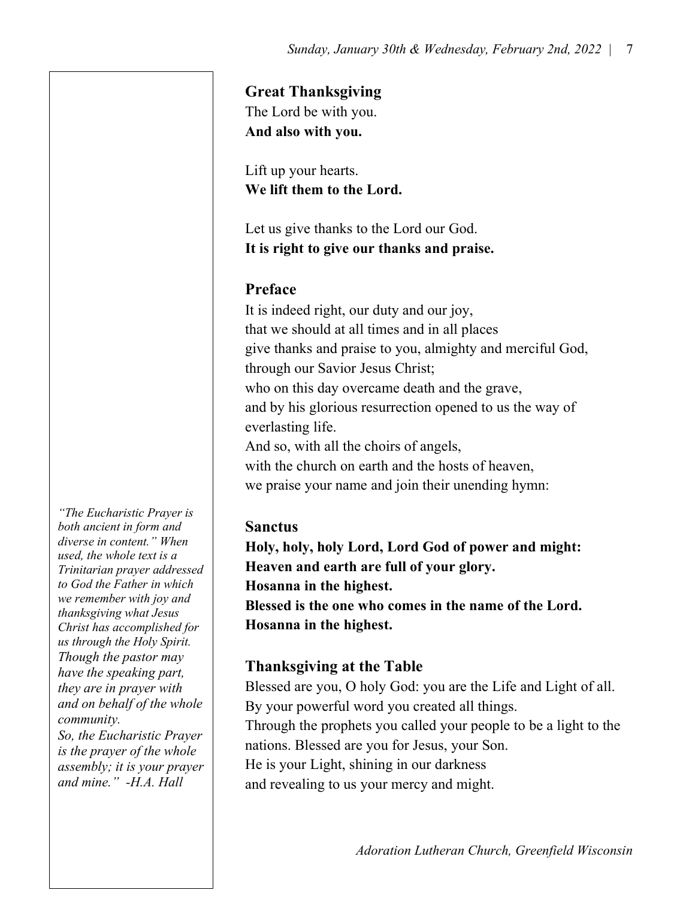#### Great Thanksgiving

The Lord be with you. And also with you.

Lift up your hearts. We lift them to the Lord.

Let us give thanks to the Lord our God. It is right to give our thanks and praise.

# Preface

It is indeed right, our duty and our joy, that we should at all times and in all places give thanks and praise to you, almighty and merciful God, through our Savior Jesus Christ; who on this day overcame death and the grave, and by his glorious resurrection opened to us the way of everlasting life. And so, with all the choirs of angels, with the church on earth and the hosts of heaven, we praise your name and join their unending hymn:

# **Sanctus**

Holy, holy, holy Lord, Lord God of power and might: Heaven and earth are full of your glory. Hosanna in the highest. Blessed is the one who comes in the name of the Lord. Hosanna in the highest.

# Thanksgiving at the Table

Blessed are you, O holy God: you are the Life and Light of all. By your powerful word you created all things. Through the prophets you called your people to be a light to the nations. Blessed are you for Jesus, your Son. He is your Light, shining in our darkness and revealing to us your mercy and might.

"The Eucharistic Prayer is both ancient in form and diverse in content." When used, the whole text is a Trinitarian prayer addressed to God the Father in which we remember with joy and thanksgiving what Jesus Christ has accomplished for us through the Holy Spirit. Though the pastor may have the speaking part, they are in prayer with and on behalf of the whole community. So, the Eucharistic Prayer is the prayer of the whole assembly; it is your prayer

and mine." -H.A. Hall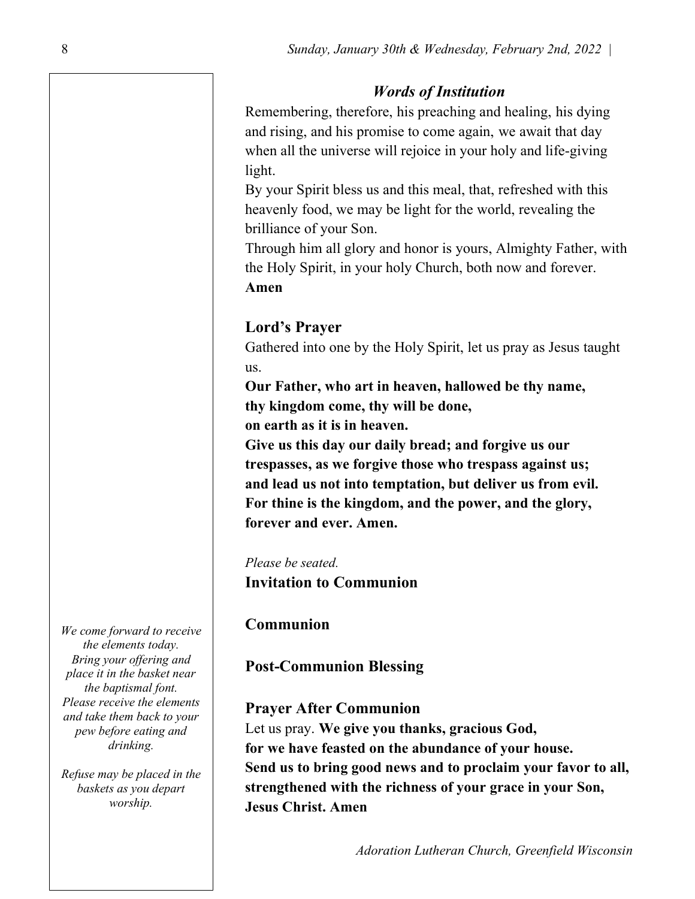#### Words of Institution

Remembering, therefore, his preaching and healing, his dying and rising, and his promise to come again, we await that day when all the universe will rejoice in your holy and life-giving light.

By your Spirit bless us and this meal, that, refreshed with this heavenly food, we may be light for the world, revealing the brilliance of your Son.

Through him all glory and honor is yours, Almighty Father, with the Holy Spirit, in your holy Church, both now and forever. Amen

# Lord's Prayer

Gathered into one by the Holy Spirit, let us pray as Jesus taught us.

Our Father, who art in heaven, hallowed be thy name, thy kingdom come, thy will be done,

on earth as it is in heaven.

Give us this day our daily bread; and forgive us our trespasses, as we forgive those who trespass against us; and lead us not into temptation, but deliver us from evil. For thine is the kingdom, and the power, and the glory, forever and ever. Amen.

Please be seated. Invitation to Communion

#### Communion

Post-Communion Blessing

#### Prayer After Communion

Let us pray. We give you thanks, gracious God, for we have feasted on the abundance of your house. Send us to bring good news and to proclaim your favor to all, strengthened with the richness of your grace in your Son, Jesus Christ. Amen

Adoration Lutheran Church, Greenfield Wisconsin

We come forward to receive the elements today. Bring your offering and place it in the basket near the baptismal font. Please receive the elements and take them back to your pew before eating and drinking.

Refuse may be placed in the baskets as you depart worship.